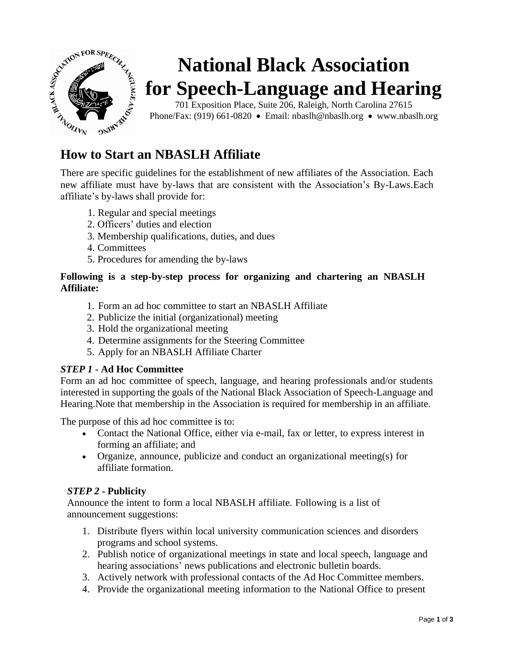

There are specific guidelines for the establishment of new affiliates of the Association. Each new affiliate must have by-laws that are consistent with the Association's By-Laws.Each affiliate's by-laws shall provide for:

- 1. Regular and special meetings
- 2. Officers' duties and election
- 3. Membership qualifications, duties, and dues
- 4. Committees
- 5. Procedures for amending the by-laws

## **Following is a step-by-step process for organizing and chartering an NBASLH Affiliate:**

- 1. Form an ad hoc [committee](http://www.ssq.org/#step1) to start an NBASLH Affiliate
- 2. Publicize the initial [\(organizational\)](http://www.ssq.org/#step2) meeting
- 3. Hold the [organizational meeting](http://www.ssq.org/#step3)
- 4. [Determine](http://www.ssq.org/#step4) assignments for the Steering Committee
- 5. Apply for an [NBASLH Affiliate](http://www.ssq.org/#step5) Charter

#### *STEP 1* **- Ad Hoc Committee**

Form an ad hoc committee of speech, language, and hearing professionals and/or students interested in supporting the goals of the National Black Association of Speech-Language and Hearing.Note that membership in the Association is required for membership in an affiliate.

The purpose of this ad hoc committee is to:

- Contact the National Office, either via e-mail, fax or letter, to express interest in forming an affiliate; and
- Organize, announce, publicize and conduct an organizational meeting(s) for affiliate formation.

# *STEP 2* **- Publicity**

Announce the intent to form a local NBASLH affiliate. Following is a list of announcement suggestions:

- 1. Distribute flyers within local university communication sciences and disorders programs and school systems.
- 2. Publish notice of organizational meetings in state and local speech, language and hearing associations' news publications and electronic bulletin boards.
- 3. Actively network with professional contacts of the Ad Hoc Committee members.
- 4. Provide the organizational meeting information to the National Office to present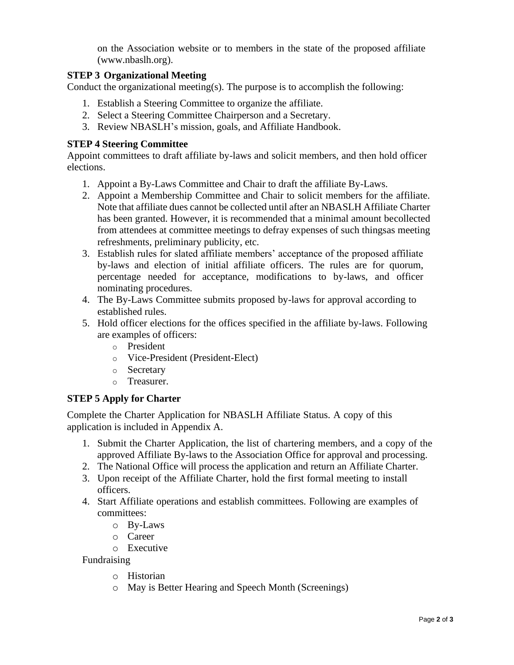on the Association website or to members in the state of the proposed affiliate (www.nbaslh.org).

# **STEP 3 Organizational Meeting**

Conduct the organizational meeting(s). The purpose is to accomplish the following:

- 1. Establish a Steering Committee to organize the affiliate.
- 2. Select a Steering Committee Chairperson and a Secretary.
- 3. Review NBASLH's mission, goals, and Affiliate Handbook.

### **STEP 4 Steering Committee**

Appoint committees to draft affiliate by-laws and solicit members, and then hold officer elections.

- 1. Appoint a By-Laws Committee and Chair to draft the affiliate By-Laws.
- 2. Appoint a Membership Committee and Chair to solicit members for the affiliate. Note that affiliate dues cannot be collected until after an NBASLH Affiliate Charter has been granted. However, it is recommended that a minimal amount becollected from attendees at committee meetings to defray expenses of such thingsas meeting refreshments, preliminary publicity, etc.
- 3. Establish rules for slated affiliate members' acceptance of the proposed affiliate by-laws and election of initial affiliate officers. The rules are for quorum, percentage needed for acceptance, modifications to by-laws, and officer nominating procedures.
- 4. The By-Laws Committee submits proposed by-laws for approval according to established rules.
- 5. Hold officer elections for the offices specified in the affiliate by-laws. Following are examples of officers:
	- o President
	- o Vice-President (President-Elect)
	- o Secretary
	- o Treasurer.

# **STEP 5 Apply for Charter**

Complete the Charter Application for NBASLH Affiliate Status. A copy of this application is included in Appendix A.

- 1. Submit the Charter Application, the list of chartering members, and a copy of the approved Affiliate By-laws to the Association Office for approval and processing.
- 2. The National Office will process the application and return an Affiliate Charter.
- 3. Upon receipt of the Affiliate Charter, hold the first formal meeting to install officers.
- 4. Start Affiliate operations and establish committees. Following are examples of committees:
	- o By-Laws
	- o Career
	- o Executive

Fundraising

- o Historian
- o May is Better Hearing and Speech Month (Screenings)